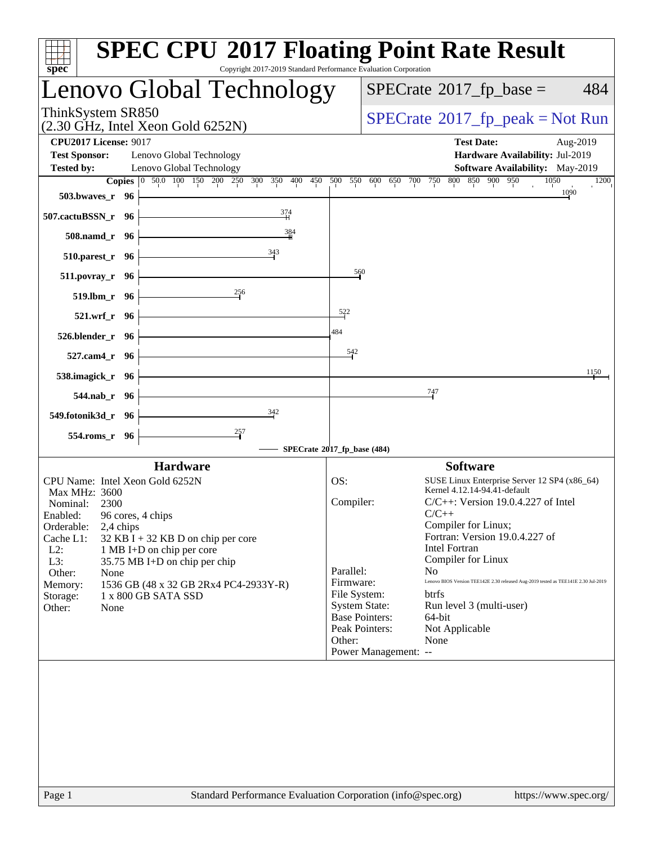|                      | Lenovo Global Technology                                                                            |                                                                                                                                                                                                                                                                                                                                                                                                                                                  |                       | $SPECrate^{\circ}2017$ _fp_base =                                                         | 484                                                                                                                                                                                                                                                                                                                                                                                                                                                                            |
|----------------------|-----------------------------------------------------------------------------------------------------|--------------------------------------------------------------------------------------------------------------------------------------------------------------------------------------------------------------------------------------------------------------------------------------------------------------------------------------------------------------------------------------------------------------------------------------------------|-----------------------|-------------------------------------------------------------------------------------------|--------------------------------------------------------------------------------------------------------------------------------------------------------------------------------------------------------------------------------------------------------------------------------------------------------------------------------------------------------------------------------------------------------------------------------------------------------------------------------|
|                      |                                                                                                     |                                                                                                                                                                                                                                                                                                                                                                                                                                                  |                       |                                                                                           |                                                                                                                                                                                                                                                                                                                                                                                                                                                                                |
|                      |                                                                                                     |                                                                                                                                                                                                                                                                                                                                                                                                                                                  |                       | <b>Test Date:</b><br>Aug-2019                                                             |                                                                                                                                                                                                                                                                                                                                                                                                                                                                                |
|                      |                                                                                                     |                                                                                                                                                                                                                                                                                                                                                                                                                                                  |                       |                                                                                           |                                                                                                                                                                                                                                                                                                                                                                                                                                                                                |
|                      |                                                                                                     |                                                                                                                                                                                                                                                                                                                                                                                                                                                  |                       | 1050                                                                                      | 1200                                                                                                                                                                                                                                                                                                                                                                                                                                                                           |
| 503.bwayes_r 96      |                                                                                                     |                                                                                                                                                                                                                                                                                                                                                                                                                                                  |                       |                                                                                           |                                                                                                                                                                                                                                                                                                                                                                                                                                                                                |
| 507.cactuBSSN_r 96   |                                                                                                     |                                                                                                                                                                                                                                                                                                                                                                                                                                                  |                       |                                                                                           |                                                                                                                                                                                                                                                                                                                                                                                                                                                                                |
| 508.namd_r 96        | 384                                                                                                 |                                                                                                                                                                                                                                                                                                                                                                                                                                                  |                       |                                                                                           |                                                                                                                                                                                                                                                                                                                                                                                                                                                                                |
| $510.parest_r$ 96    | 343                                                                                                 |                                                                                                                                                                                                                                                                                                                                                                                                                                                  |                       |                                                                                           |                                                                                                                                                                                                                                                                                                                                                                                                                                                                                |
| 511.povray_r 96      |                                                                                                     |                                                                                                                                                                                                                                                                                                                                                                                                                                                  |                       |                                                                                           |                                                                                                                                                                                                                                                                                                                                                                                                                                                                                |
| 519.lbm_r 96         | $\frac{256}{5}$                                                                                     |                                                                                                                                                                                                                                                                                                                                                                                                                                                  |                       |                                                                                           |                                                                                                                                                                                                                                                                                                                                                                                                                                                                                |
| 521.wrf_r 96         |                                                                                                     | $5^{22}$                                                                                                                                                                                                                                                                                                                                                                                                                                         |                       |                                                                                           |                                                                                                                                                                                                                                                                                                                                                                                                                                                                                |
|                      |                                                                                                     | 484                                                                                                                                                                                                                                                                                                                                                                                                                                              |                       |                                                                                           |                                                                                                                                                                                                                                                                                                                                                                                                                                                                                |
|                      |                                                                                                     | 542                                                                                                                                                                                                                                                                                                                                                                                                                                              |                       |                                                                                           |                                                                                                                                                                                                                                                                                                                                                                                                                                                                                |
|                      |                                                                                                     |                                                                                                                                                                                                                                                                                                                                                                                                                                                  |                       |                                                                                           | 1150                                                                                                                                                                                                                                                                                                                                                                                                                                                                           |
|                      |                                                                                                     |                                                                                                                                                                                                                                                                                                                                                                                                                                                  |                       |                                                                                           |                                                                                                                                                                                                                                                                                                                                                                                                                                                                                |
|                      |                                                                                                     |                                                                                                                                                                                                                                                                                                                                                                                                                                                  |                       |                                                                                           |                                                                                                                                                                                                                                                                                                                                                                                                                                                                                |
|                      |                                                                                                     |                                                                                                                                                                                                                                                                                                                                                                                                                                                  |                       |                                                                                           |                                                                                                                                                                                                                                                                                                                                                                                                                                                                                |
| 554.roms_r 96        |                                                                                                     |                                                                                                                                                                                                                                                                                                                                                                                                                                                  |                       |                                                                                           |                                                                                                                                                                                                                                                                                                                                                                                                                                                                                |
|                      |                                                                                                     |                                                                                                                                                                                                                                                                                                                                                                                                                                                  |                       |                                                                                           |                                                                                                                                                                                                                                                                                                                                                                                                                                                                                |
|                      |                                                                                                     | OS:                                                                                                                                                                                                                                                                                                                                                                                                                                              |                       | SUSE Linux Enterprise Server 12 SP4 (x86_64)                                              |                                                                                                                                                                                                                                                                                                                                                                                                                                                                                |
| Max MHz: 3600        |                                                                                                     |                                                                                                                                                                                                                                                                                                                                                                                                                                                  |                       |                                                                                           |                                                                                                                                                                                                                                                                                                                                                                                                                                                                                |
|                      |                                                                                                     |                                                                                                                                                                                                                                                                                                                                                                                                                                                  |                       | $C/C++$                                                                                   |                                                                                                                                                                                                                                                                                                                                                                                                                                                                                |
| 2,4 chips            |                                                                                                     |                                                                                                                                                                                                                                                                                                                                                                                                                                                  |                       |                                                                                           |                                                                                                                                                                                                                                                                                                                                                                                                                                                                                |
|                      |                                                                                                     |                                                                                                                                                                                                                                                                                                                                                                                                                                                  |                       | <b>Intel Fortran</b>                                                                      |                                                                                                                                                                                                                                                                                                                                                                                                                                                                                |
|                      |                                                                                                     |                                                                                                                                                                                                                                                                                                                                                                                                                                                  |                       | Compiler for Linux                                                                        |                                                                                                                                                                                                                                                                                                                                                                                                                                                                                |
| None                 |                                                                                                     |                                                                                                                                                                                                                                                                                                                                                                                                                                                  |                       | No.                                                                                       |                                                                                                                                                                                                                                                                                                                                                                                                                                                                                |
|                      | 1 x 800 GB SATA SSD                                                                                 |                                                                                                                                                                                                                                                                                                                                                                                                                                                  |                       | <b>btrfs</b>                                                                              |                                                                                                                                                                                                                                                                                                                                                                                                                                                                                |
| None                 |                                                                                                     |                                                                                                                                                                                                                                                                                                                                                                                                                                                  | <b>System State:</b>  | Run level 3 (multi-user)                                                                  |                                                                                                                                                                                                                                                                                                                                                                                                                                                                                |
|                      |                                                                                                     |                                                                                                                                                                                                                                                                                                                                                                                                                                                  | <b>Base Pointers:</b> | $64$ -bit                                                                                 |                                                                                                                                                                                                                                                                                                                                                                                                                                                                                |
|                      |                                                                                                     |                                                                                                                                                                                                                                                                                                                                                                                                                                                  |                       |                                                                                           |                                                                                                                                                                                                                                                                                                                                                                                                                                                                                |
|                      |                                                                                                     | Other:                                                                                                                                                                                                                                                                                                                                                                                                                                           | Peak Pointers:        | Not Applicable<br>None                                                                    |                                                                                                                                                                                                                                                                                                                                                                                                                                                                                |
| <b>Test Sponsor:</b> | 526.blender_r 96<br>527.cam4_r 96<br>538.imagick_r 96<br>544.nab_r 96<br>549.fotonik3d_r 96<br>2300 | ThinkSystem SR850<br>$(2.30 \text{ GHz}, \text{Intel Xeon Gold } 6252\text{N})$<br><b>CPU2017 License: 9017</b><br>Lenovo Global Technology<br>Lenovo Global Technology<br>$\frac{374}{4}$<br>$\frac{342}{5}$<br><b>Hardware</b><br>CPU Name: Intel Xeon Gold 6252N<br>Enabled: 96 cores, 4 chips<br>$32$ KB I + 32 KB D on chip per core<br>1 MB I+D on chip per core<br>35.75 MB I+D on chip per chip<br>1536 GB (48 x 32 GB 2Rx4 PC4-2933Y-R) |                       | 560<br>SPECrate®2017_fp_base (484)<br>Compiler:<br>Parallel:<br>Firmware:<br>File System: | $SPECrate^{\circ}2017$ _fp_peak = Not Run<br>Hardware Availability: Jul-2019<br>Software Availability: May-2019<br>Copies 0 50.0 100 150 200 250 300 350 400 450 500 550 600 650 700 750 800 850 900 950<br>1090<br>$\frac{747}{5}$<br><b>Software</b><br>Kernel 4.12.14-94.41-default<br>$C/C++$ : Version 19.0.4.227 of Intel<br>Compiler for Linux;<br>Fortran: Version 19.0.4.227 of<br>Lenovo BIOS Version TEE142E 2.30 released Aug-2019 tested as TEE141E 2.30 Jul-2019 |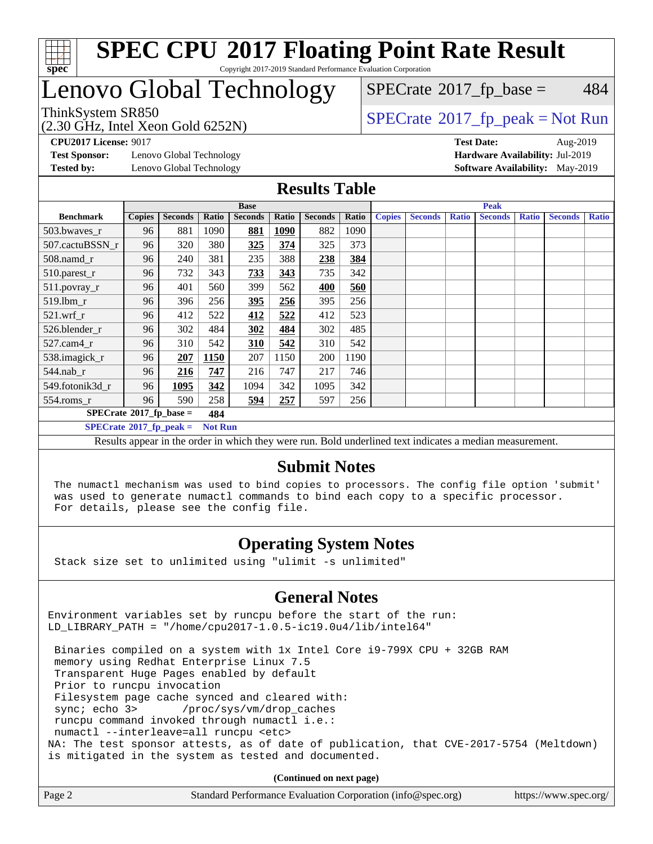

## Lenovo Global Technology

(2.30 GHz, Intel Xeon Gold 6252N)

ThinkSystem SR850<br>  $\begin{array}{c}\n\text{SPECrate} \textcirc 2017\_fp\_peak = Not Run \\
\text{SPECrate} \textcirc 2017\_fp\_peak = Not Run\n\end{array}$  $\begin{array}{c}\n\text{SPECrate} \textcirc 2017\_fp\_peak = Not Run \\
\text{SPECrate} \textcirc 2017\_fp\_peak = Not Run\n\end{array}$  $\begin{array}{c}\n\text{SPECrate} \textcirc 2017\_fp\_peak = Not Run \\
\text{SPECrate} \textcirc 2017\_fp\_peak = Not Run\n\end{array}$  $SPECTate$ <sup>®</sup>[2017\\_fp\\_base =](http://www.spec.org/auto/cpu2017/Docs/result-fields.html#SPECrate2017fpbase) 484

**[Test Sponsor:](http://www.spec.org/auto/cpu2017/Docs/result-fields.html#TestSponsor)** Lenovo Global Technology **[Hardware Availability:](http://www.spec.org/auto/cpu2017/Docs/result-fields.html#HardwareAvailability)** Jul-2019 **[Tested by:](http://www.spec.org/auto/cpu2017/Docs/result-fields.html#Testedby)** Lenovo Global Technology **[Software Availability:](http://www.spec.org/auto/cpu2017/Docs/result-fields.html#SoftwareAvailability)** May-2019

**[CPU2017 License:](http://www.spec.org/auto/cpu2017/Docs/result-fields.html#CPU2017License)** 9017 **[Test Date:](http://www.spec.org/auto/cpu2017/Docs/result-fields.html#TestDate)** Aug-2019

### **[Results Table](http://www.spec.org/auto/cpu2017/Docs/result-fields.html#ResultsTable)**

|                                               | <b>Base</b>   |                |       |                | <b>Peak</b> |                |       |               |                |              |                |              |                |              |
|-----------------------------------------------|---------------|----------------|-------|----------------|-------------|----------------|-------|---------------|----------------|--------------|----------------|--------------|----------------|--------------|
| <b>Benchmark</b>                              | <b>Copies</b> | <b>Seconds</b> | Ratio | <b>Seconds</b> | Ratio       | <b>Seconds</b> | Ratio | <b>Copies</b> | <b>Seconds</b> | <b>Ratio</b> | <b>Seconds</b> | <b>Ratio</b> | <b>Seconds</b> | <b>Ratio</b> |
| 503.bwayes_r                                  | 96            | 881            | 1090  | 881            | <b>1090</b> | 882            | 1090  |               |                |              |                |              |                |              |
| 507.cactuBSSN r                               | 96            | 320            | 380   | 325            | 374         | 325            | 373   |               |                |              |                |              |                |              |
| $508$ .namd $r$                               | 96            | 240            | 381   | 235            | 388         | 238            | 384   |               |                |              |                |              |                |              |
| 510.parest_r                                  | 96            | 732            | 343   | 733            | 343         | 735            | 342   |               |                |              |                |              |                |              |
| 511.povray_r                                  | 96            | 401            | 560   | 399            | 562         | 400            | 560   |               |                |              |                |              |                |              |
| 519.lbm r                                     | 96            | 396            | 256   | <u>395</u>     | 256         | 395            | 256   |               |                |              |                |              |                |              |
| $521.wrf_r$                                   | 96            | 412            | 522   | 412            | 522         | 412            | 523   |               |                |              |                |              |                |              |
| 526.blender r                                 | 96            | 302            | 484   | 302            | 484         | 302            | 485   |               |                |              |                |              |                |              |
| $527$ .cam $4r$                               | 96            | 310            | 542   | 310            | 542         | 310            | 542   |               |                |              |                |              |                |              |
| 538.imagick_r                                 | 96            | 207            | 1150  | 207            | 1150        | 200            | 1190  |               |                |              |                |              |                |              |
| $544$ .nab_r                                  | 96            | 216            | 747   | 216            | 747         | 217            | 746   |               |                |              |                |              |                |              |
| 549.fotonik3d r                               | 96            | 1095           | 342   | 1094           | 342         | 1095           | 342   |               |                |              |                |              |                |              |
| $554$ .roms_r                                 | 96            | 590            | 258   | 594            | 257         | 597            | 256   |               |                |              |                |              |                |              |
| $SPECrate^{\circ}2017$ fp base =              |               |                | 484   |                |             |                |       |               |                |              |                |              |                |              |
| $SPECrate^*2017_fp\_peak =$<br><b>Not Run</b> |               |                |       |                |             |                |       |               |                |              |                |              |                |              |

Results appear in the [order in which they were run](http://www.spec.org/auto/cpu2017/Docs/result-fields.html#RunOrder). Bold underlined text [indicates a median measurement.](http://www.spec.org/auto/cpu2017/Docs/result-fields.html#Median)

### **[Submit Notes](http://www.spec.org/auto/cpu2017/Docs/result-fields.html#SubmitNotes)**

 The numactl mechanism was used to bind copies to processors. The config file option 'submit' was used to generate numactl commands to bind each copy to a specific processor. For details, please see the config file.

### **[Operating System Notes](http://www.spec.org/auto/cpu2017/Docs/result-fields.html#OperatingSystemNotes)**

Stack size set to unlimited using "ulimit -s unlimited"

### **[General Notes](http://www.spec.org/auto/cpu2017/Docs/result-fields.html#GeneralNotes)**

Environment variables set by runcpu before the start of the run: LD\_LIBRARY\_PATH = "/home/cpu2017-1.0.5-ic19.0u4/lib/intel64"

 Binaries compiled on a system with 1x Intel Core i9-799X CPU + 32GB RAM memory using Redhat Enterprise Linux 7.5 Transparent Huge Pages enabled by default Prior to runcpu invocation Filesystem page cache synced and cleared with: sync; echo 3> /proc/sys/vm/drop\_caches runcpu command invoked through numactl i.e.: numactl --interleave=all runcpu <etc> NA: The test sponsor attests, as of date of publication, that CVE-2017-5754 (Meltdown) is mitigated in the system as tested and documented.

**(Continued on next page)**

| Page 2 | Standard Performance Evaluation Corporation (info@spec.org) | https://www.spec.org/ |
|--------|-------------------------------------------------------------|-----------------------|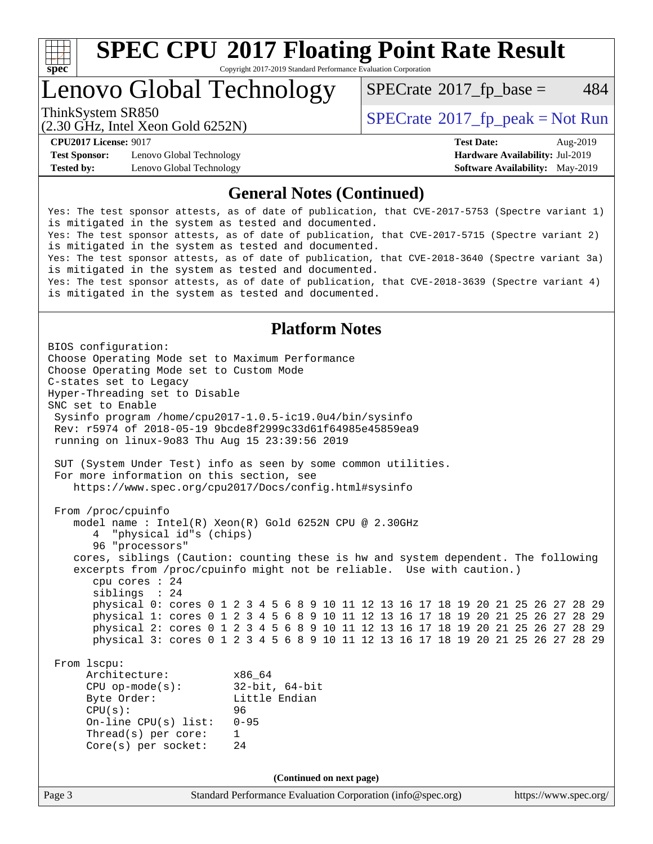

# **[SPEC CPU](http://www.spec.org/auto/cpu2017/Docs/result-fields.html#SPECCPU2017FloatingPointRateResult)[2017 Floating Point Rate Result](http://www.spec.org/auto/cpu2017/Docs/result-fields.html#SPECCPU2017FloatingPointRateResult)**

Copyright 2017-2019 Standard Performance Evaluation Corporation

## Lenovo Global Technology

 $SPECTate$ <sup>®</sup>[2017\\_fp\\_base =](http://www.spec.org/auto/cpu2017/Docs/result-fields.html#SPECrate2017fpbase) 484

(2.30 GHz, Intel Xeon Gold 6252N)

ThinkSystem SR850<br>  $SPECrate^{\circ}2017$  $SPECrate^{\circ}2017$  fp\_peak = Not Run

**[Test Sponsor:](http://www.spec.org/auto/cpu2017/Docs/result-fields.html#TestSponsor)** Lenovo Global Technology **[Hardware Availability:](http://www.spec.org/auto/cpu2017/Docs/result-fields.html#HardwareAvailability)** Jul-2019 **[Tested by:](http://www.spec.org/auto/cpu2017/Docs/result-fields.html#Testedby)** Lenovo Global Technology **[Software Availability:](http://www.spec.org/auto/cpu2017/Docs/result-fields.html#SoftwareAvailability)** May-2019

**[CPU2017 License:](http://www.spec.org/auto/cpu2017/Docs/result-fields.html#CPU2017License)** 9017 **[Test Date:](http://www.spec.org/auto/cpu2017/Docs/result-fields.html#TestDate)** Aug-2019

### **[General Notes \(Continued\)](http://www.spec.org/auto/cpu2017/Docs/result-fields.html#GeneralNotes)**

Yes: The test sponsor attests, as of date of publication, that CVE-2017-5753 (Spectre variant 1) is mitigated in the system as tested and documented. Yes: The test sponsor attests, as of date of publication, that CVE-2017-5715 (Spectre variant 2) is mitigated in the system as tested and documented. Yes: The test sponsor attests, as of date of publication, that CVE-2018-3640 (Spectre variant 3a) is mitigated in the system as tested and documented. Yes: The test sponsor attests, as of date of publication, that CVE-2018-3639 (Spectre variant 4) is mitigated in the system as tested and documented.

### **[Platform Notes](http://www.spec.org/auto/cpu2017/Docs/result-fields.html#PlatformNotes)**

Page 3 Standard Performance Evaluation Corporation [\(info@spec.org\)](mailto:info@spec.org) <https://www.spec.org/> BIOS configuration: Choose Operating Mode set to Maximum Performance Choose Operating Mode set to Custom Mode C-states set to Legacy Hyper-Threading set to Disable SNC set to Enable Sysinfo program /home/cpu2017-1.0.5-ic19.0u4/bin/sysinfo Rev: r5974 of 2018-05-19 9bcde8f2999c33d61f64985e45859ea9 running on linux-9o83 Thu Aug 15 23:39:56 2019 SUT (System Under Test) info as seen by some common utilities. For more information on this section, see <https://www.spec.org/cpu2017/Docs/config.html#sysinfo> From /proc/cpuinfo model name : Intel(R) Xeon(R) Gold 6252N CPU @ 2.30GHz 4 "physical id"s (chips) 96 "processors" cores, siblings (Caution: counting these is hw and system dependent. The following excerpts from /proc/cpuinfo might not be reliable. Use with caution.) cpu cores : 24 siblings : 24 physical 0: cores 0 1 2 3 4 5 6 8 9 10 11 12 13 16 17 18 19 20 21 25 26 27 28 29 physical 1: cores 0 1 2 3 4 5 6 8 9 10 11 12 13 16 17 18 19 20 21 25 26 27 28 29 physical 2: cores 0 1 2 3 4 5 6 8 9 10 11 12 13 16 17 18 19 20 21 25 26 27 28 29 physical 3: cores 0 1 2 3 4 5 6 8 9 10 11 12 13 16 17 18 19 20 21 25 26 27 28 29 From lscpu: Architecture: x86\_64 CPU op-mode(s): 32-bit, 64-bit Byte Order: Little Endian CPU(s): 96 On-line CPU(s) list: 0-95 Thread(s) per core: 1 Core(s) per socket: 24 **(Continued on next page)**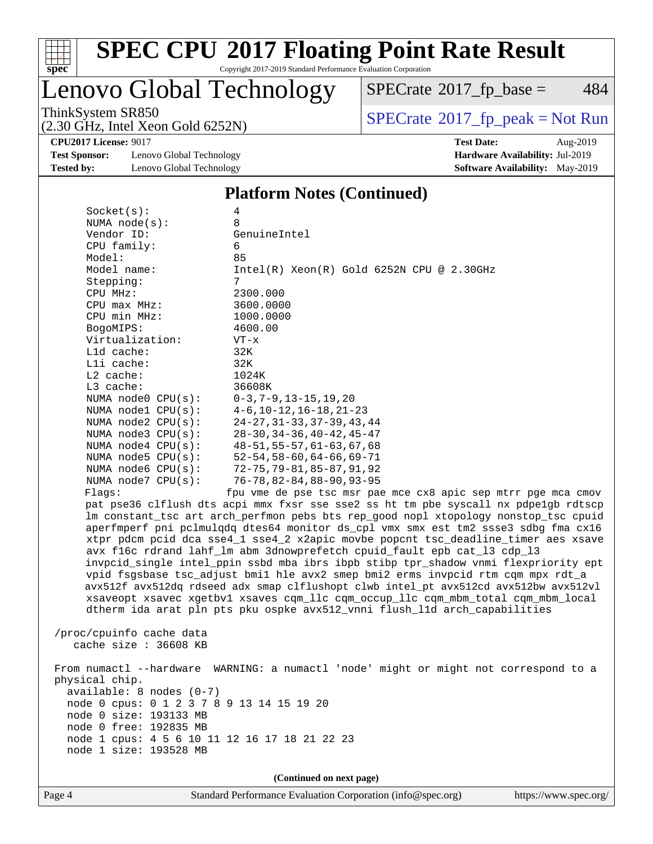

# **[SPEC CPU](http://www.spec.org/auto/cpu2017/Docs/result-fields.html#SPECCPU2017FloatingPointRateResult)[2017 Floating Point Rate Result](http://www.spec.org/auto/cpu2017/Docs/result-fields.html#SPECCPU2017FloatingPointRateResult)**

Copyright 2017-2019 Standard Performance Evaluation Corporation

### Lenovo Global Technology

 $SPECTate$ <sup>®</sup>[2017\\_fp\\_base =](http://www.spec.org/auto/cpu2017/Docs/result-fields.html#SPECrate2017fpbase) 484

(2.30 GHz, Intel Xeon Gold 6252N)

ThinkSystem SR850<br>  $\begin{array}{c}\n\text{SPECrate} \textcirc 2017\_fp\_peak = Not Run \\
\text{SPECrate} \textcirc 2017\_fp\_peak = Not Run\n\end{array}$  $\begin{array}{c}\n\text{SPECrate} \textcirc 2017\_fp\_peak = Not Run \\
\text{SPECrate} \textcirc 2017\_fp\_peak = Not Run\n\end{array}$  $\begin{array}{c}\n\text{SPECrate} \textcirc 2017\_fp\_peak = Not Run \\
\text{SPECrate} \textcirc 2017\_fp\_peak = Not Run\n\end{array}$ 

**[CPU2017 License:](http://www.spec.org/auto/cpu2017/Docs/result-fields.html#CPU2017License)** 9017 **[Test Date:](http://www.spec.org/auto/cpu2017/Docs/result-fields.html#TestDate)** Aug-2019

**[Test Sponsor:](http://www.spec.org/auto/cpu2017/Docs/result-fields.html#TestSponsor)** Lenovo Global Technology **[Hardware Availability:](http://www.spec.org/auto/cpu2017/Docs/result-fields.html#HardwareAvailability)** Jul-2019 **[Tested by:](http://www.spec.org/auto/cpu2017/Docs/result-fields.html#Testedby)** Lenovo Global Technology **[Software Availability:](http://www.spec.org/auto/cpu2017/Docs/result-fields.html#SoftwareAvailability)** May-2019

#### **[Platform Notes \(Continued\)](http://www.spec.org/auto/cpu2017/Docs/result-fields.html#PlatformNotes)**

| Socket(s):                                   | 4                                               |
|----------------------------------------------|-------------------------------------------------|
| NUMA $node(s):$                              | $\mathsf{R}$                                    |
| Vendor ID:                                   | GenuineIntel                                    |
| CPU family:                                  | 6                                               |
| Model:                                       | 85                                              |
| Model name:                                  | $Intel(R)$ Xeon $(R)$ Gold 6252N CPU @ 2.30GHz  |
| Stepping:                                    | 7                                               |
| CPU MHz:                                     | 2300.000                                        |
| $CPU$ $max$ $MHz$ :                          | 3600.0000                                       |
| CPU min MHz:                                 | 1000.0000                                       |
| BogoMIPS:                                    | 4600.00                                         |
| Virtualization:                              | $VT - x$                                        |
| $L1d$ cache:                                 | 32K                                             |
| $L1i$ cache:                                 | 32K                                             |
| $L2$ cache:                                  | 1024K                                           |
| $L3$ cache:                                  | 36608K                                          |
| NUMA node0 $CPU(s): 0-3, 7-9, 13-15, 19, 20$ |                                                 |
|                                              | NUMA nodel CPU(s): 4-6, 10-12, 16-18, 21-23     |
|                                              | NUMA node2 CPU(s): 24-27, 31-33, 37-39, 43, 44  |
| NUMA node3 CPU(s):                           | $28 - 30, 34 - 36, 40 - 42, 45 - 47$            |
|                                              | NUMA node4 CPU(s): 48-51, 55-57, 61-63, 67, 68  |
|                                              | NUMA node5 $CPU(s):$ 52-54, 58-60, 64-66, 69-71 |
|                                              | NUMA node6 CPU(s): 72-75,79-81,85-87,91,92      |
|                                              | NUMA node7 CPU(s): 76-78,82-84,88-90,93-95      |
| Flaqs:                                       | fpu vme de pse tsc msr pae mce cx8 apic sep m   |
|                                              |                                                 |

itrr pge mca cmov pat pse36 clflush dts acpi mmx fxsr sse sse2 ss ht tm pbe syscall nx pdpe1gb rdtscp lm constant\_tsc art arch\_perfmon pebs bts rep\_good nopl xtopology nonstop\_tsc cpuid aperfmperf pni pclmulqdq dtes64 monitor ds\_cpl vmx smx est tm2 ssse3 sdbg fma cx16 xtpr pdcm pcid dca sse4\_1 sse4\_2 x2apic movbe popcnt tsc\_deadline\_timer aes xsave avx f16c rdrand lahf\_lm abm 3dnowprefetch cpuid\_fault epb cat\_l3 cdp\_l3 invpcid\_single intel\_ppin ssbd mba ibrs ibpb stibp tpr\_shadow vnmi flexpriority ept vpid fsgsbase tsc\_adjust bmi1 hle avx2 smep bmi2 erms invpcid rtm cqm mpx rdt\_a avx512f avx512dq rdseed adx smap clflushopt clwb intel\_pt avx512cd avx512bw avx512vl xsaveopt xsavec xgetbv1 xsaves cqm\_llc cqm\_occup\_llc cqm\_mbm\_total cqm\_mbm\_local dtherm ida arat pln pts pku ospke avx512\_vnni flush\_l1d arch\_capabilities

 /proc/cpuinfo cache data cache size : 36608 KB

 From numactl --hardware WARNING: a numactl 'node' might or might not correspond to a physical chip. available: 8 nodes (0-7) node 0 cpus: 0 1 2 3 7 8 9 13 14 15 19 20 node 0 size: 193133 MB node 0 free: 192835 MB node 1 cpus: 4 5 6 10 11 12 16 17 18 21 22 23 node 1 size: 193528 MB

**(Continued on next page)**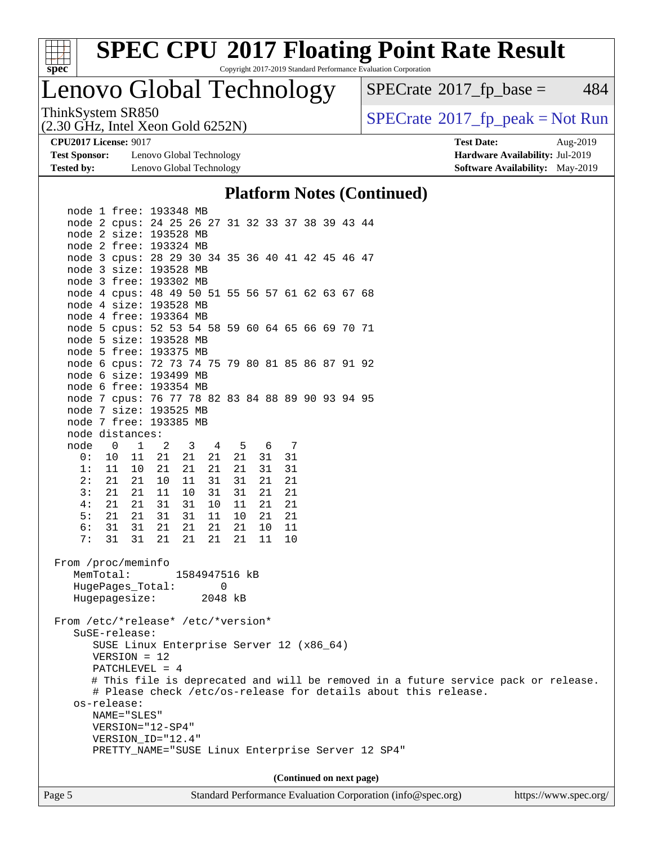

Lenovo Global Technology

 $SPECTate$ <sup>®</sup>[2017\\_fp\\_base =](http://www.spec.org/auto/cpu2017/Docs/result-fields.html#SPECrate2017fpbase) 484

(2.30 GHz, Intel Xeon Gold 6252N)

ThinkSystem SR850<br>(2.30 GHz, Intel Xeon Gold 6252N) [SPECrate](http://www.spec.org/auto/cpu2017/Docs/result-fields.html#SPECrate2017fppeak)®[2017\\_fp\\_peak = N](http://www.spec.org/auto/cpu2017/Docs/result-fields.html#SPECrate2017fppeak)ot Run

**[Test Sponsor:](http://www.spec.org/auto/cpu2017/Docs/result-fields.html#TestSponsor)** Lenovo Global Technology **[Hardware Availability:](http://www.spec.org/auto/cpu2017/Docs/result-fields.html#HardwareAvailability)** Jul-2019 **[Tested by:](http://www.spec.org/auto/cpu2017/Docs/result-fields.html#Testedby)** Lenovo Global Technology **[Software Availability:](http://www.spec.org/auto/cpu2017/Docs/result-fields.html#SoftwareAvailability)** May-2019

**[CPU2017 License:](http://www.spec.org/auto/cpu2017/Docs/result-fields.html#CPU2017License)** 9017 **[Test Date:](http://www.spec.org/auto/cpu2017/Docs/result-fields.html#TestDate)** Aug-2019

#### **[Platform Notes \(Continued\)](http://www.spec.org/auto/cpu2017/Docs/result-fields.html#PlatformNotes)**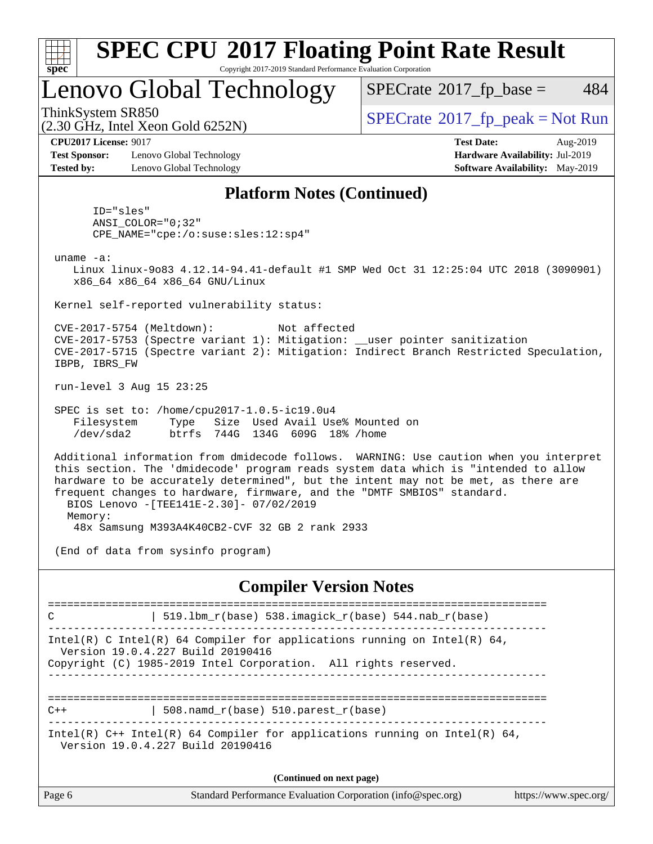

### Lenovo Global Technology

 $SPECTate$ <sup>®</sup>[2017\\_fp\\_base =](http://www.spec.org/auto/cpu2017/Docs/result-fields.html#SPECrate2017fpbase) 484

(2.30 GHz, Intel Xeon Gold 6252N)

 $SPECTate$ <sup>®</sup>[2017\\_fp\\_peak = N](http://www.spec.org/auto/cpu2017/Docs/result-fields.html#SPECrate2017fppeak)ot Run

**[CPU2017 License:](http://www.spec.org/auto/cpu2017/Docs/result-fields.html#CPU2017License)** 9017 **[Test Date:](http://www.spec.org/auto/cpu2017/Docs/result-fields.html#TestDate)** Aug-2019

**[Test Sponsor:](http://www.spec.org/auto/cpu2017/Docs/result-fields.html#TestSponsor)** Lenovo Global Technology **[Hardware Availability:](http://www.spec.org/auto/cpu2017/Docs/result-fields.html#HardwareAvailability)** Jul-2019 **[Tested by:](http://www.spec.org/auto/cpu2017/Docs/result-fields.html#Testedby)** Lenovo Global Technology **[Software Availability:](http://www.spec.org/auto/cpu2017/Docs/result-fields.html#SoftwareAvailability)** May-2019

### **[Platform Notes \(Continued\)](http://www.spec.org/auto/cpu2017/Docs/result-fields.html#PlatformNotes)**

 ID="sles" ANSI\_COLOR="0;32" CPE\_NAME="cpe:/o:suse:sles:12:sp4"

uname -a:

 Linux linux-9o83 4.12.14-94.41-default #1 SMP Wed Oct 31 12:25:04 UTC 2018 (3090901) x86\_64 x86\_64 x86\_64 GNU/Linux

Kernel self-reported vulnerability status:

 CVE-2017-5754 (Meltdown): Not affected CVE-2017-5753 (Spectre variant 1): Mitigation: \_\_user pointer sanitization CVE-2017-5715 (Spectre variant 2): Mitigation: Indirect Branch Restricted Speculation, IBPB, IBRS\_FW

run-level 3 Aug 15 23:25

 SPEC is set to: /home/cpu2017-1.0.5-ic19.0u4 Filesystem Type Size Used Avail Use% Mounted on /dev/sda2 btrfs 744G 134G 609G 18% /home

 Additional information from dmidecode follows. WARNING: Use caution when you interpret this section. The 'dmidecode' program reads system data which is "intended to allow hardware to be accurately determined", but the intent may not be met, as there are frequent changes to hardware, firmware, and the "DMTF SMBIOS" standard. BIOS Lenovo -[TEE141E-2.30]- 07/02/2019 Memory:

48x Samsung M393A4K40CB2-CVF 32 GB 2 rank 2933

(End of data from sysinfo program)

#### **[Compiler Version Notes](http://www.spec.org/auto/cpu2017/Docs/result-fields.html#CompilerVersionNotes)**

============================================================================== C | 519.lbm\_r(base) 538.imagick\_r(base) 544.nab\_r(base) ------------------------------------------------------------------------------ Intel(R) C Intel(R) 64 Compiler for applications running on Intel(R)  $64$ , Version 19.0.4.227 Build 20190416 Copyright (C) 1985-2019 Intel Corporation. All rights reserved. ------------------------------------------------------------------------------ ==============================================================================  $C++$  | 508.namd  $r(base)$  510.parest  $r(base)$ ------------------------------------------------------------------------------ Intel(R)  $C++$  Intel(R) 64 Compiler for applications running on Intel(R) 64, Version 19.0.4.227 Build 20190416 **(Continued on next page)**

| Page 6 | Standard Performance Evaluation Corporation (info@spec.org) | https://www.spec.org/ |
|--------|-------------------------------------------------------------|-----------------------|
|--------|-------------------------------------------------------------|-----------------------|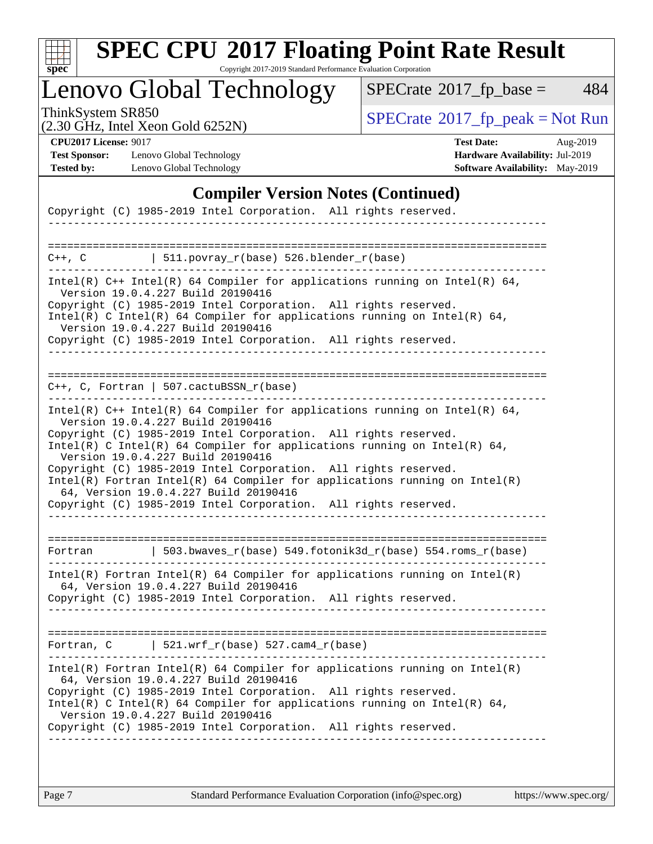

# **[SPEC CPU](http://www.spec.org/auto/cpu2017/Docs/result-fields.html#SPECCPU2017FloatingPointRateResult)[2017 Floating Point Rate Result](http://www.spec.org/auto/cpu2017/Docs/result-fields.html#SPECCPU2017FloatingPointRateResult)**

Copyright 2017-2019 Standard Performance Evaluation Corporation

# Lenovo Global Technology

 $SPECTate@2017_fp\_base = 484$ 

(2.30 GHz, Intel Xeon Gold 6252N)

ThinkSystem SR850<br>  $(2, 30 \text{ GHz})$  Intel Xeon Gold 6252N)

**[Test Sponsor:](http://www.spec.org/auto/cpu2017/Docs/result-fields.html#TestSponsor)** Lenovo Global Technology **[Hardware Availability:](http://www.spec.org/auto/cpu2017/Docs/result-fields.html#HardwareAvailability)** Jul-2019 **[Tested by:](http://www.spec.org/auto/cpu2017/Docs/result-fields.html#Testedby)** Lenovo Global Technology **[Software Availability:](http://www.spec.org/auto/cpu2017/Docs/result-fields.html#SoftwareAvailability)** May-2019

**[CPU2017 License:](http://www.spec.org/auto/cpu2017/Docs/result-fields.html#CPU2017License)** 9017 **[Test Date:](http://www.spec.org/auto/cpu2017/Docs/result-fields.html#TestDate)** Aug-2019

### **[Compiler Version Notes \(Continued\)](http://www.spec.org/auto/cpu2017/Docs/result-fields.html#CompilerVersionNotes)**

| Copyright (C) 1985-2019 Intel Corporation. All rights reserved.                                                                                                                                                                                                                                                                                                                                                                                                                                                                                                    |
|--------------------------------------------------------------------------------------------------------------------------------------------------------------------------------------------------------------------------------------------------------------------------------------------------------------------------------------------------------------------------------------------------------------------------------------------------------------------------------------------------------------------------------------------------------------------|
|                                                                                                                                                                                                                                                                                                                                                                                                                                                                                                                                                                    |
| $\vert$ 511.povray_r(base) 526.blender_r(base)<br>C++, C                                                                                                                                                                                                                                                                                                                                                                                                                                                                                                           |
| Intel(R) C++ Intel(R) 64 Compiler for applications running on Intel(R) 64,<br>Version 19.0.4.227 Build 20190416<br>Copyright (C) 1985-2019 Intel Corporation. All rights reserved.<br>Intel(R) C Intel(R) 64 Compiler for applications running on Intel(R) 64,<br>Version 19.0.4.227 Build 20190416<br>Copyright (C) 1985-2019 Intel Corporation. All rights reserved.                                                                                                                                                                                             |
| $C_{++}$ , C, Fortran   507.cactuBSSN_r(base)                                                                                                                                                                                                                                                                                                                                                                                                                                                                                                                      |
| Intel(R) $C++$ Intel(R) 64 Compiler for applications running on Intel(R) 64,<br>Version 19.0.4.227 Build 20190416<br>Copyright (C) 1985-2019 Intel Corporation. All rights reserved.<br>Intel(R) C Intel(R) 64 Compiler for applications running on Intel(R) 64,<br>Version 19.0.4.227 Build 20190416<br>Copyright (C) 1985-2019 Intel Corporation. All rights reserved.<br>Intel(R) Fortran Intel(R) 64 Compiler for applications running on Intel(R)<br>64, Version 19.0.4.227 Build 20190416<br>Copyright (C) 1985-2019 Intel Corporation. All rights reserved. |
| 503.bwaves_r(base) 549.fotonik3d_r(base) 554.roms_r(base)<br>Fortran                                                                                                                                                                                                                                                                                                                                                                                                                                                                                               |
| $Intel(R)$ Fortran Intel(R) 64 Compiler for applications running on Intel(R)<br>64, Version 19.0.4.227 Build 20190416<br>Copyright (C) 1985-2019 Intel Corporation. All rights reserved.                                                                                                                                                                                                                                                                                                                                                                           |
| Fortran, $C$   521.wrf_r(base) 527.cam4_r(base)                                                                                                                                                                                                                                                                                                                                                                                                                                                                                                                    |
| Intel(R) Fortran Intel(R) 64 Compiler for applications running on Intel(R)<br>64, Version 19.0.4.227 Build 20190416<br>Copyright (C) 1985-2019 Intel Corporation. All rights reserved.<br>Intel(R) C Intel(R) 64 Compiler for applications running on Intel(R) 64,<br>Version 19.0.4.227 Build 20190416<br>Copyright (C) 1985-2019 Intel Corporation. All rights reserved.                                                                                                                                                                                         |
|                                                                                                                                                                                                                                                                                                                                                                                                                                                                                                                                                                    |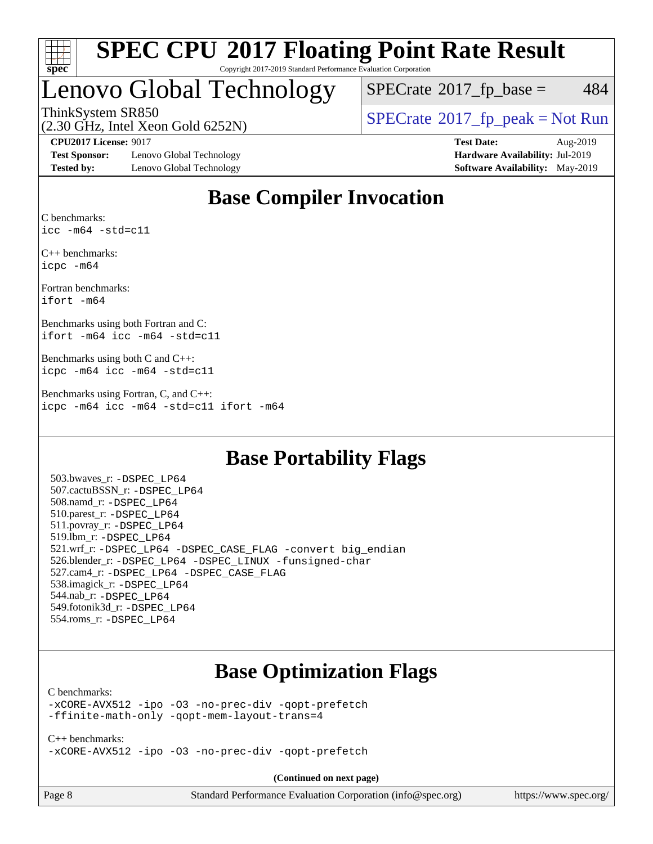

## Lenovo Global Technology

 $SPECTate$ <sup>®</sup>[2017\\_fp\\_base =](http://www.spec.org/auto/cpu2017/Docs/result-fields.html#SPECrate2017fpbase) 484

(2.30 GHz, Intel Xeon Gold 6252N)

ThinkSystem SR850<br>  $\begin{array}{c}\n\text{SPECrate} \textcirc 2017\_fp\_peak = Not Run \\
\text{SPECrate} \textcirc 2017\_fp\_peak = Not Run\n\end{array}$  $\begin{array}{c}\n\text{SPECrate} \textcirc 2017\_fp\_peak = Not Run \\
\text{SPECrate} \textcirc 2017\_fp\_peak = Not Run\n\end{array}$  $\begin{array}{c}\n\text{SPECrate} \textcirc 2017\_fp\_peak = Not Run \\
\text{SPECrate} \textcirc 2017\_fp\_peak = Not Run\n\end{array}$ 

**[Test Sponsor:](http://www.spec.org/auto/cpu2017/Docs/result-fields.html#TestSponsor)** Lenovo Global Technology **[Hardware Availability:](http://www.spec.org/auto/cpu2017/Docs/result-fields.html#HardwareAvailability)** Jul-2019 **[Tested by:](http://www.spec.org/auto/cpu2017/Docs/result-fields.html#Testedby)** Lenovo Global Technology **[Software Availability:](http://www.spec.org/auto/cpu2017/Docs/result-fields.html#SoftwareAvailability)** May-2019

**[CPU2017 License:](http://www.spec.org/auto/cpu2017/Docs/result-fields.html#CPU2017License)** 9017 **[Test Date:](http://www.spec.org/auto/cpu2017/Docs/result-fields.html#TestDate)** Aug-2019

### **[Base Compiler Invocation](http://www.spec.org/auto/cpu2017/Docs/result-fields.html#BaseCompilerInvocation)**

[C benchmarks](http://www.spec.org/auto/cpu2017/Docs/result-fields.html#Cbenchmarks): [icc -m64 -std=c11](http://www.spec.org/cpu2017/results/res2019q3/cpu2017-20190819-17038.flags.html#user_CCbase_intel_icc_64bit_c11_33ee0cdaae7deeeab2a9725423ba97205ce30f63b9926c2519791662299b76a0318f32ddfffdc46587804de3178b4f9328c46fa7c2b0cd779d7a61945c91cd35)

[C++ benchmarks:](http://www.spec.org/auto/cpu2017/Docs/result-fields.html#CXXbenchmarks) [icpc -m64](http://www.spec.org/cpu2017/results/res2019q3/cpu2017-20190819-17038.flags.html#user_CXXbase_intel_icpc_64bit_4ecb2543ae3f1412ef961e0650ca070fec7b7afdcd6ed48761b84423119d1bf6bdf5cad15b44d48e7256388bc77273b966e5eb805aefd121eb22e9299b2ec9d9)

[Fortran benchmarks:](http://www.spec.org/auto/cpu2017/Docs/result-fields.html#Fortranbenchmarks) [ifort -m64](http://www.spec.org/cpu2017/results/res2019q3/cpu2017-20190819-17038.flags.html#user_FCbase_intel_ifort_64bit_24f2bb282fbaeffd6157abe4f878425411749daecae9a33200eee2bee2fe76f3b89351d69a8130dd5949958ce389cf37ff59a95e7a40d588e8d3a57e0c3fd751)

[Benchmarks using both Fortran and C](http://www.spec.org/auto/cpu2017/Docs/result-fields.html#BenchmarksusingbothFortranandC): [ifort -m64](http://www.spec.org/cpu2017/results/res2019q3/cpu2017-20190819-17038.flags.html#user_CC_FCbase_intel_ifort_64bit_24f2bb282fbaeffd6157abe4f878425411749daecae9a33200eee2bee2fe76f3b89351d69a8130dd5949958ce389cf37ff59a95e7a40d588e8d3a57e0c3fd751) [icc -m64 -std=c11](http://www.spec.org/cpu2017/results/res2019q3/cpu2017-20190819-17038.flags.html#user_CC_FCbase_intel_icc_64bit_c11_33ee0cdaae7deeeab2a9725423ba97205ce30f63b9926c2519791662299b76a0318f32ddfffdc46587804de3178b4f9328c46fa7c2b0cd779d7a61945c91cd35)

[Benchmarks using both C and C++:](http://www.spec.org/auto/cpu2017/Docs/result-fields.html#BenchmarksusingbothCandCXX) [icpc -m64](http://www.spec.org/cpu2017/results/res2019q3/cpu2017-20190819-17038.flags.html#user_CC_CXXbase_intel_icpc_64bit_4ecb2543ae3f1412ef961e0650ca070fec7b7afdcd6ed48761b84423119d1bf6bdf5cad15b44d48e7256388bc77273b966e5eb805aefd121eb22e9299b2ec9d9) [icc -m64 -std=c11](http://www.spec.org/cpu2017/results/res2019q3/cpu2017-20190819-17038.flags.html#user_CC_CXXbase_intel_icc_64bit_c11_33ee0cdaae7deeeab2a9725423ba97205ce30f63b9926c2519791662299b76a0318f32ddfffdc46587804de3178b4f9328c46fa7c2b0cd779d7a61945c91cd35)

[Benchmarks using Fortran, C, and C++](http://www.spec.org/auto/cpu2017/Docs/result-fields.html#BenchmarksusingFortranCandCXX): [icpc -m64](http://www.spec.org/cpu2017/results/res2019q3/cpu2017-20190819-17038.flags.html#user_CC_CXX_FCbase_intel_icpc_64bit_4ecb2543ae3f1412ef961e0650ca070fec7b7afdcd6ed48761b84423119d1bf6bdf5cad15b44d48e7256388bc77273b966e5eb805aefd121eb22e9299b2ec9d9) [icc -m64 -std=c11](http://www.spec.org/cpu2017/results/res2019q3/cpu2017-20190819-17038.flags.html#user_CC_CXX_FCbase_intel_icc_64bit_c11_33ee0cdaae7deeeab2a9725423ba97205ce30f63b9926c2519791662299b76a0318f32ddfffdc46587804de3178b4f9328c46fa7c2b0cd779d7a61945c91cd35) [ifort -m64](http://www.spec.org/cpu2017/results/res2019q3/cpu2017-20190819-17038.flags.html#user_CC_CXX_FCbase_intel_ifort_64bit_24f2bb282fbaeffd6157abe4f878425411749daecae9a33200eee2bee2fe76f3b89351d69a8130dd5949958ce389cf37ff59a95e7a40d588e8d3a57e0c3fd751)

### **[Base Portability Flags](http://www.spec.org/auto/cpu2017/Docs/result-fields.html#BasePortabilityFlags)**

 503.bwaves\_r: [-DSPEC\\_LP64](http://www.spec.org/cpu2017/results/res2019q3/cpu2017-20190819-17038.flags.html#suite_basePORTABILITY503_bwaves_r_DSPEC_LP64) 507.cactuBSSN\_r: [-DSPEC\\_LP64](http://www.spec.org/cpu2017/results/res2019q3/cpu2017-20190819-17038.flags.html#suite_basePORTABILITY507_cactuBSSN_r_DSPEC_LP64) 508.namd\_r: [-DSPEC\\_LP64](http://www.spec.org/cpu2017/results/res2019q3/cpu2017-20190819-17038.flags.html#suite_basePORTABILITY508_namd_r_DSPEC_LP64) 510.parest\_r: [-DSPEC\\_LP64](http://www.spec.org/cpu2017/results/res2019q3/cpu2017-20190819-17038.flags.html#suite_basePORTABILITY510_parest_r_DSPEC_LP64) 511.povray\_r: [-DSPEC\\_LP64](http://www.spec.org/cpu2017/results/res2019q3/cpu2017-20190819-17038.flags.html#suite_basePORTABILITY511_povray_r_DSPEC_LP64) 519.lbm\_r: [-DSPEC\\_LP64](http://www.spec.org/cpu2017/results/res2019q3/cpu2017-20190819-17038.flags.html#suite_basePORTABILITY519_lbm_r_DSPEC_LP64) 521.wrf\_r: [-DSPEC\\_LP64](http://www.spec.org/cpu2017/results/res2019q3/cpu2017-20190819-17038.flags.html#suite_basePORTABILITY521_wrf_r_DSPEC_LP64) [-DSPEC\\_CASE\\_FLAG](http://www.spec.org/cpu2017/results/res2019q3/cpu2017-20190819-17038.flags.html#b521.wrf_r_baseCPORTABILITY_DSPEC_CASE_FLAG) [-convert big\\_endian](http://www.spec.org/cpu2017/results/res2019q3/cpu2017-20190819-17038.flags.html#user_baseFPORTABILITY521_wrf_r_convert_big_endian_c3194028bc08c63ac5d04de18c48ce6d347e4e562e8892b8bdbdc0214820426deb8554edfa529a3fb25a586e65a3d812c835984020483e7e73212c4d31a38223) 526.blender\_r: [-DSPEC\\_LP64](http://www.spec.org/cpu2017/results/res2019q3/cpu2017-20190819-17038.flags.html#suite_basePORTABILITY526_blender_r_DSPEC_LP64) [-DSPEC\\_LINUX](http://www.spec.org/cpu2017/results/res2019q3/cpu2017-20190819-17038.flags.html#b526.blender_r_baseCPORTABILITY_DSPEC_LINUX) [-funsigned-char](http://www.spec.org/cpu2017/results/res2019q3/cpu2017-20190819-17038.flags.html#user_baseCPORTABILITY526_blender_r_force_uchar_40c60f00ab013830e2dd6774aeded3ff59883ba5a1fc5fc14077f794d777847726e2a5858cbc7672e36e1b067e7e5c1d9a74f7176df07886a243d7cc18edfe67) 527.cam4\_r: [-DSPEC\\_LP64](http://www.spec.org/cpu2017/results/res2019q3/cpu2017-20190819-17038.flags.html#suite_basePORTABILITY527_cam4_r_DSPEC_LP64) [-DSPEC\\_CASE\\_FLAG](http://www.spec.org/cpu2017/results/res2019q3/cpu2017-20190819-17038.flags.html#b527.cam4_r_baseCPORTABILITY_DSPEC_CASE_FLAG) 538.imagick\_r: [-DSPEC\\_LP64](http://www.spec.org/cpu2017/results/res2019q3/cpu2017-20190819-17038.flags.html#suite_basePORTABILITY538_imagick_r_DSPEC_LP64) 544.nab\_r: [-DSPEC\\_LP64](http://www.spec.org/cpu2017/results/res2019q3/cpu2017-20190819-17038.flags.html#suite_basePORTABILITY544_nab_r_DSPEC_LP64) 549.fotonik3d\_r: [-DSPEC\\_LP64](http://www.spec.org/cpu2017/results/res2019q3/cpu2017-20190819-17038.flags.html#suite_basePORTABILITY549_fotonik3d_r_DSPEC_LP64) 554.roms\_r: [-DSPEC\\_LP64](http://www.spec.org/cpu2017/results/res2019q3/cpu2017-20190819-17038.flags.html#suite_basePORTABILITY554_roms_r_DSPEC_LP64)

### **[Base Optimization Flags](http://www.spec.org/auto/cpu2017/Docs/result-fields.html#BaseOptimizationFlags)**

#### [C benchmarks](http://www.spec.org/auto/cpu2017/Docs/result-fields.html#Cbenchmarks):

[-xCORE-AVX512](http://www.spec.org/cpu2017/results/res2019q3/cpu2017-20190819-17038.flags.html#user_CCbase_f-xCORE-AVX512) [-ipo](http://www.spec.org/cpu2017/results/res2019q3/cpu2017-20190819-17038.flags.html#user_CCbase_f-ipo) [-O3](http://www.spec.org/cpu2017/results/res2019q3/cpu2017-20190819-17038.flags.html#user_CCbase_f-O3) [-no-prec-div](http://www.spec.org/cpu2017/results/res2019q3/cpu2017-20190819-17038.flags.html#user_CCbase_f-no-prec-div) [-qopt-prefetch](http://www.spec.org/cpu2017/results/res2019q3/cpu2017-20190819-17038.flags.html#user_CCbase_f-qopt-prefetch) [-ffinite-math-only](http://www.spec.org/cpu2017/results/res2019q3/cpu2017-20190819-17038.flags.html#user_CCbase_f_finite_math_only_cb91587bd2077682c4b38af759c288ed7c732db004271a9512da14a4f8007909a5f1427ecbf1a0fb78ff2a814402c6114ac565ca162485bbcae155b5e4258871) [-qopt-mem-layout-trans=4](http://www.spec.org/cpu2017/results/res2019q3/cpu2017-20190819-17038.flags.html#user_CCbase_f-qopt-mem-layout-trans_fa39e755916c150a61361b7846f310bcdf6f04e385ef281cadf3647acec3f0ae266d1a1d22d972a7087a248fd4e6ca390a3634700869573d231a252c784941a8)

[C++ benchmarks:](http://www.spec.org/auto/cpu2017/Docs/result-fields.html#CXXbenchmarks) [-xCORE-AVX512](http://www.spec.org/cpu2017/results/res2019q3/cpu2017-20190819-17038.flags.html#user_CXXbase_f-xCORE-AVX512) [-ipo](http://www.spec.org/cpu2017/results/res2019q3/cpu2017-20190819-17038.flags.html#user_CXXbase_f-ipo) [-O3](http://www.spec.org/cpu2017/results/res2019q3/cpu2017-20190819-17038.flags.html#user_CXXbase_f-O3) [-no-prec-div](http://www.spec.org/cpu2017/results/res2019q3/cpu2017-20190819-17038.flags.html#user_CXXbase_f-no-prec-div) [-qopt-prefetch](http://www.spec.org/cpu2017/results/res2019q3/cpu2017-20190819-17038.flags.html#user_CXXbase_f-qopt-prefetch)

**(Continued on next page)**

| Page 8 |  |
|--------|--|
|--------|--|

Page 8 Standard Performance Evaluation Corporation [\(info@spec.org\)](mailto:info@spec.org) <https://www.spec.org/>